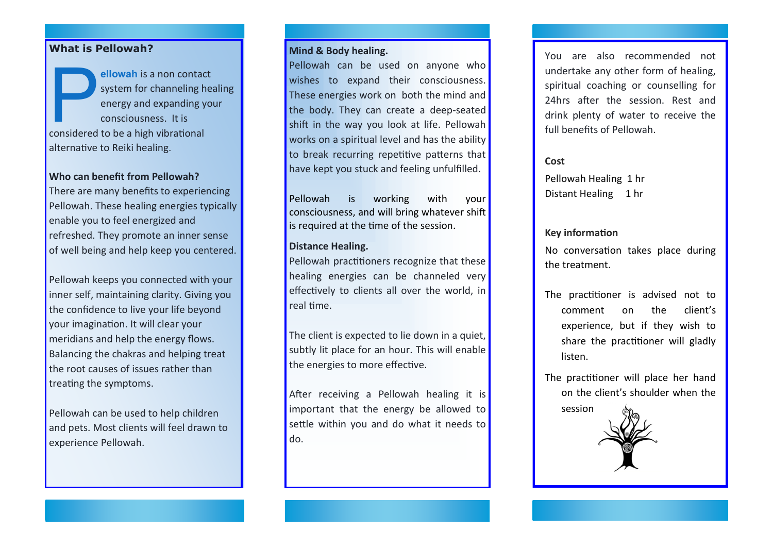## **What is Pellowah?**

**Expanding to the allowah** is a non contact system for channeling henergy and expanding y consciousness. It is considered to be a high vibrational **ellowah** is a non contact system for channeling healing energy and expanding your consciousness. It is alternative to Reiki healing.

#### **Who can benefit from Pellowah?**

There are many benefits to experiencing Pellowah. These healing energies typically enable you to feel energized and refreshed. They promote an inner sense of well being and help keep you centered.

Pellowah keeps you connected with your inner self, maintaining clarity. Giving you the confidence to live your life beyond your imagination. It will clear your meridians and help the energy flows. Balancing the chakras and helping treat the root causes of issues rather than treating the symptoms.

Pellowah can be used to help children and pets. Most clients will feel drawn to experience Pellowah.

### **Mind & Body healing.**

Pellowah can be used on anyone who wishes to expand their consciousness. These energies work on both the mind and the body. They can create a deep-seated shift in the way you look at life. Pellowah works on a spiritual level and has the ability to break recurring repetitive patterns that have kept you stuck and feeling unfulfilled.

Pellowah is working with your consciousness, and will bring whatever shift is required at the time of the session.

#### **Distance Healing.**

Pellowah practitioners recognize that these healing energies can be channeled very effectively to clients all over the world, in real time.

The client is expected to lie down in a quiet, subtly lit place for an hour. This will enable the energies to more effective.

After receiving a Pellowah healing it is important that the energy be allowed to settle within you and do what it needs to do.

You are also recommended not undertake any other form of healing, spiritual coaching or counselling for 24hrs after the session. Rest and drink plenty of water to receive the full benefits of Pellowah.

**Cost**

Pellowah Healing 1 hr Distant Healing 1 hr

#### **Key information**

No conversation takes place during the treatment.

The practitioner is advised not to comment on the client's experience, but if they wish to share the practitioner will gladly listen.

The practitioner will place her hand on the client's shoulder when the session